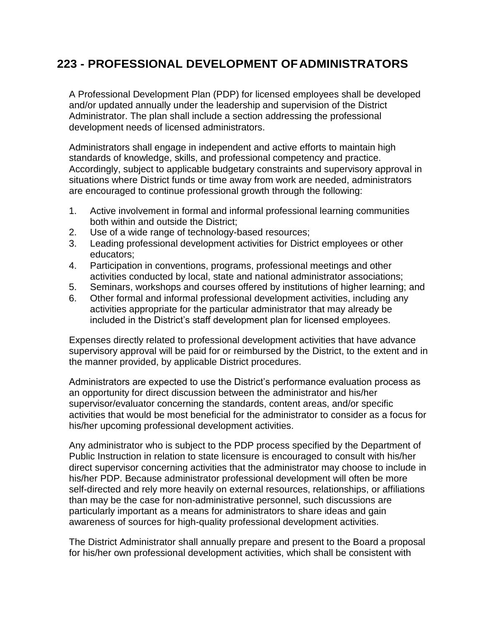## **223 - PROFESSIONAL DEVELOPMENT OFADMINISTRATORS**

A Professional Development Plan (PDP) for licensed employees shall be developed and/or updated annually under the leadership and supervision of the District Administrator. The plan shall include a section addressing the professional development needs of licensed administrators.

Administrators shall engage in independent and active efforts to maintain high standards of knowledge, skills, and professional competency and practice. Accordingly, subject to applicable budgetary constraints and supervisory approval in situations where District funds or time away from work are needed, administrators are encouraged to continue professional growth through the following:

- 1. Active involvement in formal and informal professional learning communities both within and outside the District;
- 2. Use of a wide range of technology-based resources;
- 3. Leading professional development activities for District employees or other educators;
- 4. Participation in conventions, programs, professional meetings and other activities conducted by local, state and national administrator associations;
- 5. Seminars, workshops and courses offered by institutions of higher learning; and
- 6. Other formal and informal professional development activities, including any activities appropriate for the particular administrator that may already be included in the District's staff development plan for licensed employees.

Expenses directly related to professional development activities that have advance supervisory approval will be paid for or reimbursed by the District, to the extent and in the manner provided, by applicable District procedures.

Administrators are expected to use the District's performance evaluation process as an opportunity for direct discussion between the administrator and his/her supervisor/evaluator concerning the standards, content areas, and/or specific activities that would be most beneficial for the administrator to consider as a focus for his/her upcoming professional development activities.

Any administrator who is subject to the PDP process specified by the Department of Public Instruction in relation to state licensure is encouraged to consult with his/her direct supervisor concerning activities that the administrator may choose to include in his/her PDP. Because administrator professional development will often be more self-directed and rely more heavily on external resources, relationships, or affiliations than may be the case for non-administrative personnel, such discussions are particularly important as a means for administrators to share ideas and gain awareness of sources for high-quality professional development activities.

The District Administrator shall annually prepare and present to the Board a proposal for his/her own professional development activities, which shall be consistent with